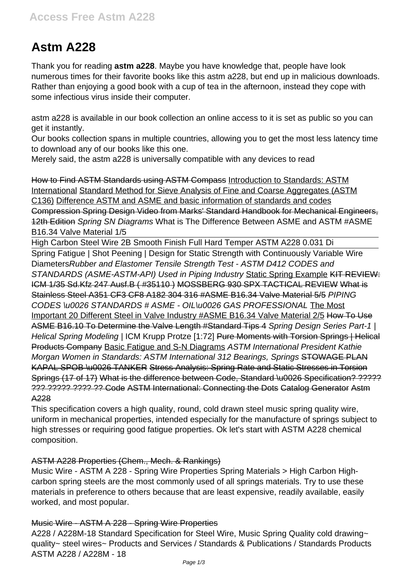# **Astm A228**

Thank you for reading **astm a228**. Maybe you have knowledge that, people have look numerous times for their favorite books like this astm a228, but end up in malicious downloads. Rather than enjoying a good book with a cup of tea in the afternoon, instead they cope with some infectious virus inside their computer.

astm a228 is available in our book collection an online access to it is set as public so you can get it instantly.

Our books collection spans in multiple countries, allowing you to get the most less latency time to download any of our books like this one.

Merely said, the astm a228 is universally compatible with any devices to read

How to Find ASTM Standards using ASTM Compass Introduction to Standards: ASTM International Standard Method for Sieve Analysis of Fine and Coarse Aggregates (ASTM C136) Difference ASTM and ASME and basic information of standards and codes Compression Spring Design Video from Marks' Standard Handbook for Mechanical Engineers, 12th Edition Spring SN Diagrams What is The Difference Between ASME and ASTM #ASME B16.34 Valve Material 1/5

High Carbon Steel Wire 2B Smooth Finish Full Hard Temper ASTM A228 0.031 Di Spring Fatigue | Shot Peening | Design for Static Strength with Continuously Variable Wire DiametersRubber and Elastomer Tensile Strength Test - ASTM D412 CODES and STANDARDS (ASME-ASTM-API) Used in Piping Industry Static Spring Example KIT REVIEW: ICM 1/35 Sd.Kfz 247 Ausf.B ( #35110 ) MOSSBERG 930 SPX TACTICAL REVIEW What is Stainless Steel A351 CF3 CF8 A182 304 316 #ASME B16.34 Valve Material 5/5 PIPING CODES \u0026 STANDARDS # ASME - OIL\u0026 GAS PROFESSIONAL The Most Important 20 Different Steel in Valve Industry #ASME B16.34 Valve Material 2/5 How To Use ASME B16.10 To Determine the Valve Length #Standard Tips 4 Spring Design Series Part-1 | Helical Spring Modeling | ICM Krupp Protze [1:72] Pure Moments with Torsion Springs | Helical Products Company Basic Fatigue and S-N Diagrams ASTM International President Kathie Morgan Women in Standards: ASTM International 312 Bearings, Springs STOWAGE PLAN KAPAL SPOB \u0026 TANKER Stress Analysis: Spring Rate and Static Stresses in Torsion Springs (17 of 17) What is the difference between Code, Standard \u0026 Specification? ????? ??? ????? ???? ?? Code ASTM International: Connecting the Dots Catalog Generator Astm A228

This specification covers a high quality, round, cold drawn steel music spring quality wire, uniform in mechanical properties, intended especially for the manufacture of springs subject to high stresses or requiring good fatigue properties. Ok let's start with ASTM A228 chemical composition.

## ASTM A228 Properties (Chem., Mech. & Rankings)

Music Wire - ASTM A 228 - Spring Wire Properties Spring Materials > High Carbon Highcarbon spring steels are the most commonly used of all springs materials. Try to use these materials in preference to others because that are least expensive, readily available, easily worked, and most popular.

## Music Wire - ASTM A 228 - Spring Wire Properties

A228 / A228M-18 Standard Specification for Steel Wire, Music Spring Quality cold drawing~ quality~ steel wires~ Products and Services / Standards & Publications / Standards Products ASTM A228 / A228M - 18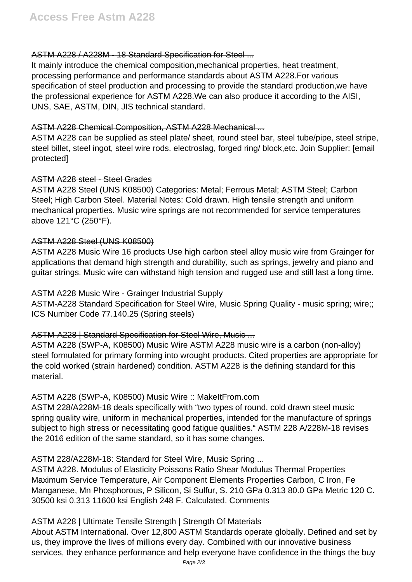#### ASTM A228 / A228M - 18 Standard Specification for Steel ...

It mainly introduce the chemical composition,mechanical properties, heat treatment, processing performance and performance standards about ASTM A228.For various specification of steel production and processing to provide the standard production,we have the professional experience for ASTM A228.We can also produce it according to the AISI, UNS, SAE, ASTM, DIN, JIS technical standard.

#### ASTM A228 Chemical Composition, ASTM A228 Mechanical ...

ASTM A228 can be supplied as steel plate/ sheet, round steel bar, steel tube/pipe, steel stripe, steel billet, steel ingot, steel wire rods. electroslag, forged ring/ block,etc. Join Supplier: [email protected]

## ASTM A228 steel - Steel Grades

ASTM A228 Steel (UNS K08500) Categories: Metal; Ferrous Metal; ASTM Steel; Carbon Steel; High Carbon Steel. Material Notes: Cold drawn. High tensile strength and uniform mechanical properties. Music wire springs are not recommended for service temperatures above 121°C (250°F).

## ASTM A228 Steel (UNS K08500)

ASTM A228 Music Wire 16 products Use high carbon steel alloy music wire from Grainger for applications that demand high strength and durability, such as springs, jewelry and piano and guitar strings. Music wire can withstand high tension and rugged use and still last a long time.

## ASTM A228 Music Wire - Grainger Industrial Supply

ASTM-A228 Standard Specification for Steel Wire, Music Spring Quality - music spring; wire;; ICS Number Code 77.140.25 (Spring steels)

## ASTM-A228 | Standard Specification for Steel Wire, Music ...

ASTM A228 (SWP-A, K08500) Music Wire ASTM A228 music wire is a carbon (non-alloy) steel formulated for primary forming into wrought products. Cited properties are appropriate for the cold worked (strain hardened) condition. ASTM A228 is the defining standard for this material.

## ASTM A228 (SWP-A, K08500) Music Wire :: MakeItFrom.com

ASTM 228/A228M-18 deals specifically with "two types of round, cold drawn steel music spring quality wire, uniform in mechanical properties, intended for the manufacture of springs subject to high stress or necessitating good fatigue qualities." ASTM 228 A/228M-18 revises the 2016 edition of the same standard, so it has some changes.

## ASTM 228/A228M-18: Standard for Steel Wire, Music Spring ...

ASTM A228. Modulus of Elasticity Poissons Ratio Shear Modulus Thermal Properties Maximum Service Temperature, Air Component Elements Properties Carbon, C Iron, Fe Manganese, Mn Phosphorous, P Silicon, Si Sulfur, S. 210 GPa 0.313 80.0 GPa Metric 120 C. 30500 ksi 0.313 11600 ksi English 248 F. Calculated. Comments

## ASTM A228 | Ultimate Tensile Strength | Strength Of Materials

About ASTM International. Over 12,800 ASTM Standards operate globally. Defined and set by us, they improve the lives of millions every day. Combined with our innovative business services, they enhance performance and help everyone have confidence in the things the buy